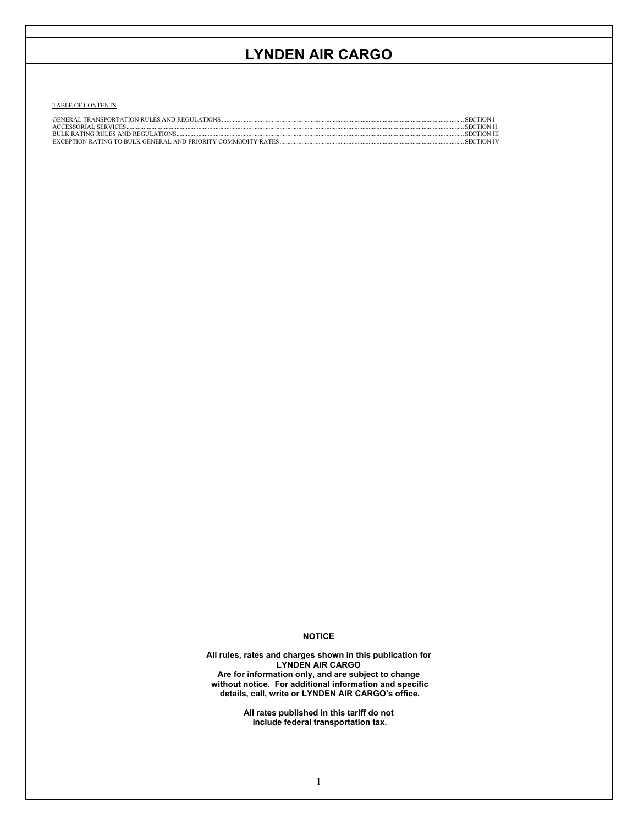TABLE OF CONTENTS

| <b>GENERAL TRANSPORTATION RULES AND REGULATIONS</b> | <b>SECTION</b>     |
|-----------------------------------------------------|--------------------|
| ACCESSORIAL SERVICES                                | <b>SECTION II</b>  |
|                                                     | <b>SECTION III</b> |
|                                                     | <b>SECTION IV</b>  |

## **NOTICE**

**All rules, rates and charges shown in this publication for LYNDEN AIR CARGO Are for information only, and are subject to change without notice. For additional information and specific details, call, write or LYNDEN AIR CARGO's office.** 

> **All rates published in this tariff do not include federal transportation tax.**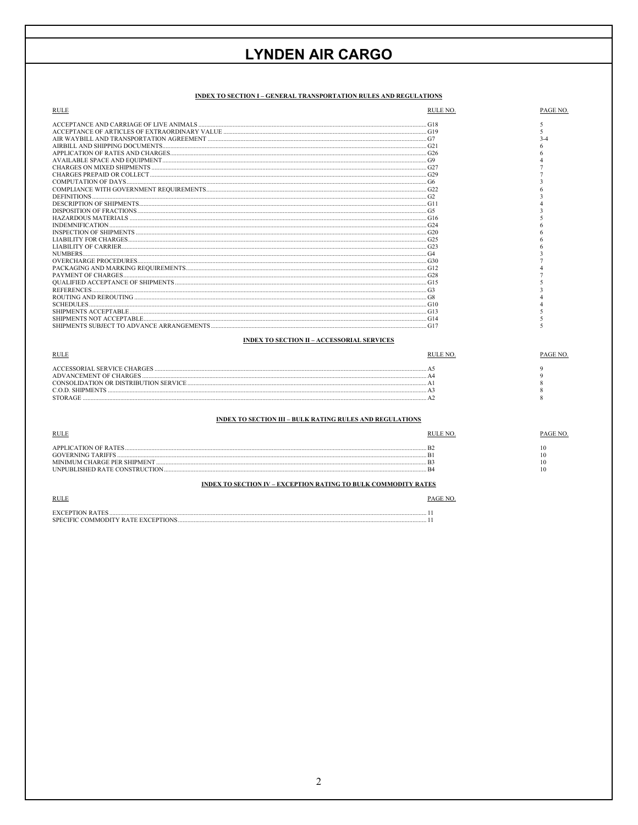## INDEX TO SECTION I - GENERAL TRANSPORTATION RULES AND REGULATIONS

| <b>RULE</b>                                       | RULE NO. | PAGE NO. |
|---------------------------------------------------|----------|----------|
|                                                   | G18      |          |
|                                                   |          |          |
|                                                   |          | $3-4$    |
|                                                   |          |          |
| APPLICATION OF RATES AND CHARGES                  |          |          |
|                                                   |          |          |
|                                                   |          |          |
|                                                   |          |          |
|                                                   |          |          |
|                                                   |          |          |
|                                                   |          |          |
|                                                   |          |          |
|                                                   |          |          |
|                                                   |          |          |
| <b>INDEMNIFICATION</b>                            |          |          |
|                                                   |          |          |
|                                                   |          |          |
|                                                   |          |          |
| <b>NUMBERS</b>                                    |          |          |
|                                                   |          |          |
|                                                   |          |          |
|                                                   |          |          |
|                                                   |          |          |
|                                                   |          |          |
|                                                   |          |          |
| <b>SCHEDULES</b>                                  |          |          |
| SHIPMENTS ACCEPTABLE                              | G13      |          |
|                                                   | G14      |          |
|                                                   | G17      |          |
| <b>INDEX TO SECTION II - ACCESSORIAL SERVICES</b> |          |          |
| <b>RULE</b>                                       | RULE NO. | PAGE NO. |

| ACCESSORIAL SERVICE CHARGES |  |
|-----------------------------|--|
|                             |  |
|                             |  |
|                             |  |
|                             |  |

## INDEX TO SECTION III - BULK RATING RULES AND REGULATIONS

| RULI                                                                                                              |                                |  |
|-------------------------------------------------------------------------------------------------------------------|--------------------------------|--|
| <b>APPLICATION OF RATES</b><br><b>GOVERNING TARIFFS</b><br><b>CHARGE PER SHIPMENT</b><br>LISHED RATE CONSTRUCTION | B <sub>2</sub><br>B<br>R<br>R. |  |

## INDEX TO SECTION IV – EXCEPTION RATING TO BULK COMMODITY RATES

| <u>KULE</u>                                               |  |
|-----------------------------------------------------------|--|
| YCEPTION                                                  |  |
| <b>SDEC</b><br>. v RATE EXCEPTIONS<br>OMMODITY .<br>'HEIG |  |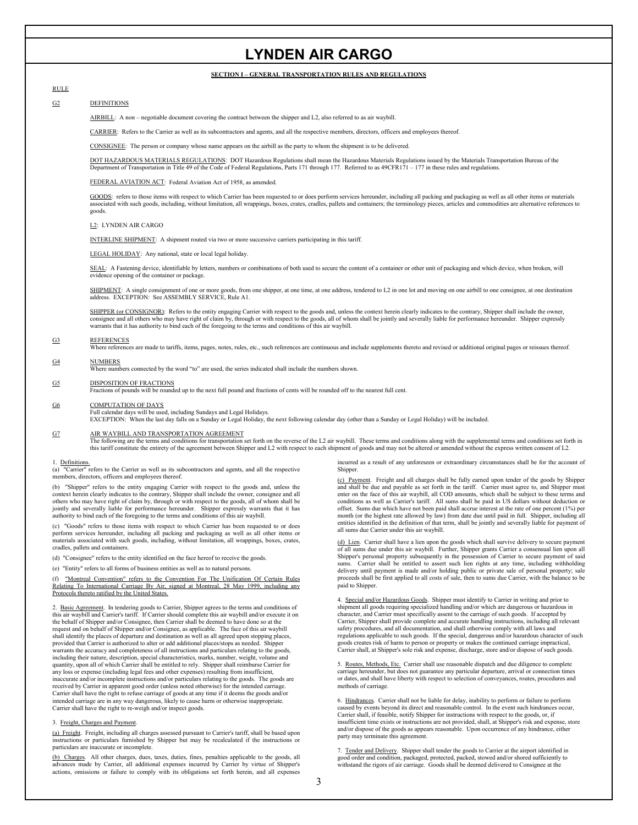## **SECTION I – GENERAL TRANSPORTATION RULES AND REGULATIONS**

## RULE

## G2 DEFINITIONS

AIRBILL: A non – negotiable document covering the contract between the shipper and L2, also referred to as air waybill.

CARRIER: Refers to the Carrier as well as its subcontractors and agents, and all the respective members, directors, officers and employees thereof.

CONSIGNEE: The person or company whose name appears on the airbill as the party to whom the shipment is to be delivered.

DOT HAZARDOUS MATERIALS REGULATIONS: DOT Hazardous Regulations shall mean the Hazardous Materials Regulations issued by the Materials Transportation Bureau of the Department of Transportation in Title 49 of the Code of Federal Regulations, Parts 171 through 177. Referred to as 49CFR171 – 177 in these rules and regulations.

### FEDERAL AVIATION ACT: Federal Aviation Act of 1958, as amended.

GOODS: refers to those items with respect to which Carrier has been requested to or does perform services hereunder, including all packing and packaging as well as all other items or materials associated with such goods, including, without limitation, all wrappings, boxes, crates, cradles, pallets and containers; the terminology pieces, articles and commodities are alternative references to goods.

### L2: LYNDEN AIR CARGO

INTERLINE SHIPMENT: A shipment routed via two or more successive carriers participating in this tariff.

LEGAL HOLIDAY: Any national, state or local legal holiday.

SEAL: A Fastening device, identifiable by letters, numbers or combinations of both used to secure the content of a container or other unit of packaging and which device, when broken, will evidence opening of the container or package.

SHIPMENT: A single consignment of one or more goods, from one shipper, at one time, at one address, tendered to L2 in one lot and moving on one airbill to one consignee, at one destination address. EXCEPTION: See ASSEMBLY

SHIPPER (or CONSIGNOR): Refers to the entity engaging Carrier with respect to the goods and, unless the context herein clearly indicates to the contrary, Shipper shall include the owner, consignee and all others who may have right of claim by, through or with respect to the goods, all of whom shall be jointly and severally liable for performance hereunder. Shipper expressly warrants that it has authority to bind each of the foregoing to the terms and conditions of this air waybill.

#### $G<sub>3</sub>$ **REFERENCES**

Where references are made to tariffs, items, pages, notes, rules, etc., such references are continuous and include supplements thereto and revised or additional original pages or reissues thereof.

### G4 NUMBERS

Where numbers connected by the word "to" are used, the series indicated shall include the numbers shown.

## G5 DISPOSITION OF FRACTIONS

Fractions of pounds will be rounded up to the next full pound and fractions of cents will be rounded off to the nearest full cent.

### G6 COMPUTATION OF DAYS

Full calendar days will be used, including Sundays and Legal Holidays.<br>EXCEPTION: When the last day falls on a Sunday or Legal Holiday, the next following calendar day (other than a Sunday or Legal Holiday) will be include

### G7 AIR WAYBILL AND TRANSPORTATION AGREEMENT

The following are the terms and conditions for transportation set forth on the reverse of the L2 air waybill. These terms and conditions along with the supplemental terms and conditions set forth in this tariff constitute the entirety of the agreement between Shipper and L2 with respect to each shipment of goods and may not be altered or amended without the express written consent of L2.

### 1. Definitions.

(a) "Carrier" refers to the Carrier as well as its subcontractors and agents, and all the respective members, directors, officers and employees thereof.

(b) "Shipper" refers to the entity engaging Carrier with respect to the goods and, unless the context herein clearly indicates to the contrary, Shipper shall include the owner, consignee and all others who may have right of claim by, through or with respect to the goods, all of whom shall be<br>jointly and severally liable for performance hereunder. Shipper expressly warrants that it has authority to bind each of the foregoing to the terms and conditions of this air waybill.

(c) "Goods" refers to those items with respect to which Carrier has been requested to or does perform services hereunder, including all packing and packaging as well as all other items or materials associated with such goods, including, without limitation, all wrappings, box cradles, pallets and containers.

(d) "Consignee" refers to the entity identified on the face hereof to receive the goods.

(e) "Entity" refers to all forms of business entities as well as to natural persons.

(f) "Montreal Convention" refers to the Convention For The Unification Of Certain Rules Relating To International Carriage By Air, signed at Montreal, 28 May 1999, including any Protocols thereto ratified by the United States.

2. Basic Agreement. In tendering goods to Carrier, Shipper agrees to the terms and conditions of this air waybill and Carrier's tariff. If Carrier should complete this air waybill and/or execute it on the behalf of Shipper and/or Consignee, then Carrier shall be deemed to have done so at the request and on behalf of Shipper and/or Consignee, as applicable. The face of this air waybill<br>shall identify the places of departure and destination as well as all agreed upon stopping places, provided that Carrier is authorized to alter or add additional places/stops as needed. Shipper warrants the accuracy and completeness of all instructions and particulars relating to the goods, including their nature, description, special characteristics, marks, number, weight, volume and quantity, upon all of which Carrier shall be entitled to rely. Shipper shall reimburse Carrier for any loss or expense (including legal fees and other expenses) resulting from insufficient, inaccurate and/or incomplete instructions and/or particulars relating to the goods. The goods are received by Carrier in apparent good order (unless noted otherwise) for the intended carriage. Carrier shall have the right to refuse carriage of goods at any time if it deems the goods and/or intended carriage are in any way dangerous, likely to cause harm or otherwise inappropriate. Carrier shall have the right to re-weigh and/or inspect goods.

#### 3. Freight, Charges and Payment .

(a) Freight. Freight, including all charges assessed pursuant to Carrier's tariff, shall be based upon instructions or particulars furnished by Shipper but may be recalculated if the instructions or particulars are inaccurate or incomplete.

(b) Charges. All other charges, dues, taxes, duties, fines, penalties applicable to the goods, all advances made by Carrier, all additional expenses incurred by Carrier by virtue of Shipper's actions, omissions or failure to comply with its obligations set forth herein, and all expenses

incurred as a result of any unforeseen or extraordinary circumstanc es shall be for the account of Shipper.

(c) Payment. Freight and all charges shall be fully earned upon tender of the goods by Shipper and shall be due and payable as set forth in the tariff. Carrier must agree to, and Shipper must enter on the face of this air waybill, all COD amou nts, which shall be subject to these terms and conditions as well as Carrier's tariff. All sums shall be paid in US dollars without deduction or offset. Sums due which have not been paid shall accrue interest at the rate of one percent (1%) per month (or the highest rate allowed by law) from date du e until paid in full. Shipper, including all entities identified in the definition of that term, shall be jointly and severally liable for payment of all sums due Carrier under this air waybill.

es, crates, (d) Lien. Carrier shall have a lien upon the goods which shall survive delivery to secure payment of all sums due under this air waybill. Further, Ship per grants Carrier a consensual lien upon all delivery until payment is made and/or holding pu proceeds shall be first applied to all costs of sale, the blic or private sale of personal property; sale n to sums due Carrier, with the balance to be paid to Shipper. Shipper's personal property subsequently in the possession of Carrier to secure payment of said sums. Carrier shall be entitled to assert such lien rights at any time, including withholding

> 4. Sp ecial and/or Hazardous Goods. Shipper must identify to Carrier in writing and prior to shipment all goods requiring specialized handling and/or which a re dangerous or hazardous in character, and Carrier must specifically assent to the car riage of such goods. If accepted by Carrier, Shipper shall provide complete and accurate handling instructions, including all relevant safety procedures, and all documentation, and shall otherwise comply with all laws and regulations applicable to such goods. If the special, dangerous and/or hazardous character of such regulations applicable to such goods. If the special, dangerous and/or hazardous character of such goods creates risk of harm to person or property or makes the continued carriage impractical, Carrier shall, at Shipper's sole risk and expense, discharge, store and/or dispose of such goods.

5. Routes, Methods, Etc. Carrier shall use reasonable dispatch and due diligence to complete carriage hereunder, but does not guarantee any particular departure, arrival or connection times or dates, and shall have liberty with respect to selection of conveyances, routes, procedures and methods of carriage.

6. Hindrances. Carrier shall not be liable for delay, inability to perform or failure to perform caused by events beyond its direct and reasonable control. In the event such hindrances occur, Carrier shall, if feasible, notify Shipper for instructions with respect to the goods, or, if insufficient time exists or instructions are not provided, shall, at Shipper's risk and expense, store and/or dispose of the goods as appears reasonable. Upon occurrence of any hindrance, either party may terminate this agreen

7. Tender and Delivery. Shipper shall tender the goods to Carrier at the airport identified in good order and condition, packaged, protected, packed, stowed and/or shored sufficiently to withstand the rigors of air carriage. Goods shall be deemed delivered to Consignee at the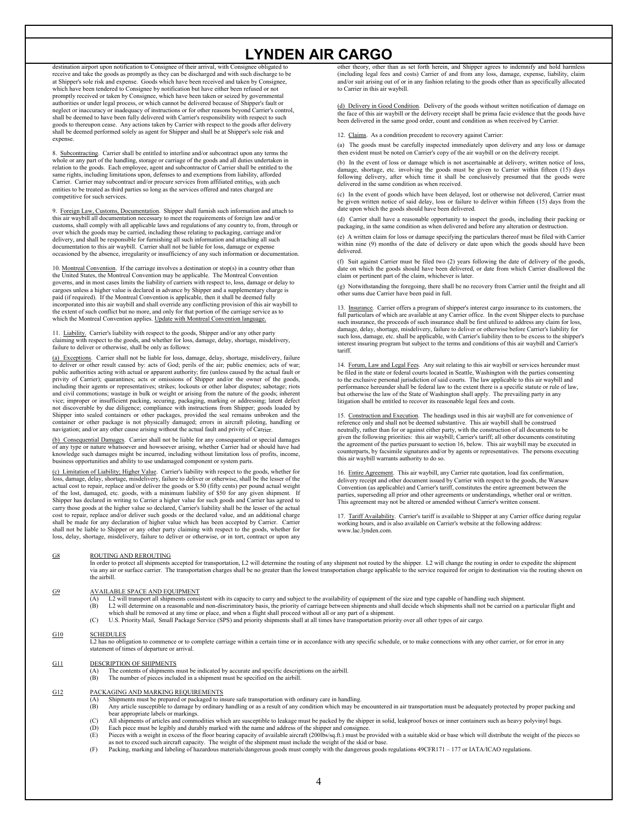destination airport upon notification to Consignee of their arrival, with Consignee obligated to receive and take the goods as promptly as they can be discharged and with such discharge to be at Shipper's sole risk and expense. Goods which have been received and taken by Consignee, which have been tendered to Consignee by notification but have either been refused or not promptly received or taken by Consignee, which have been taken or seized by governmental authorities or under legal process, or which cannot be delivered because of Shipper's fault or neglect or inaccuracy or inadequacy of instructions or for other reasons beyond Carrier's control, shall be deemed to have been fully delivered with Carrier's responsibility with respect to such<br>goods to thereupon cease. Any actions taken by Carrier with respect to the goods after delivery shall be deemed performed solely as agent for Shipper and shall be at Shipper's sole risk and expense.

8. Subcontracting. Carrier shall be entitled to interline and/or subcontract upon any terms the whole or any part of t he handling, storage or carriage of the goods and all duties underta ken in relation to the goods. Each employee, agent and subcontractor of Carrier shall be entitled to the same rights, including limitations upon, defenses to and exemptions from liability, afforded<br>Carrier. Carrier may subcontract and/or procure services from affiliated entities, with such entities to be treated as third parties so long as the services offered and rates charged are competitive for such services.

9. Foreign Law, Customs, Documentation. Shipper shall furnish such information and attach to this air waybill all documentation necessary to meet the requirements of foreign law and/or customs, shall comply with all applicable laws and regulations of any country to, from, through or over which the goods may be carried, including those relating to packaging, carriage and/or<br>delivery, and shall be responsible for furnishing all such information and attaching all such documentation to this air waybill. Carrier shall not be liable for loss, damage or expense occasioned by the absence, irregularity or insufficiency of any such information or documentation.

10. Montreal Convention. If the carriage involves a destination or stop(s) in a country other than the United States, the Montreal Convention may be applicable. The Montreal Convention governs, and in most cases limits the liabili ty of carriers with respect to, loss, damage or delay to cargoes unless a higher value is declared in advance by Shipper and a supplementary charge is paid (if required). If the Montreal Convention is applicable, then it shall be deemed fully incorporated into this air waybill and shall override any conflicting provision of this air waybill to the extent of such conflict but no more, and only for that portion of the carriage service as to guage. which the Montreal Convention applies. Update with Montreal Con

11. Liability. Carrier's liability with respect to the goods, Shipper and/or any other party claiming with respect to the goods, and whether for loss, damage, delay, shortage, misdelivery, failure to deliver or otherwise, shall be only as follows:

(a) Exceptions. Carrier shall not be liable for loss, damage, delay, shortage, misdelivery, failure to deliver or other result caused by: acts of God; perils of the air; public e nemies; a cts of war; public authorities acting with actual or apparent authority; fire (unless caused by the actual fault or privity of Carrier); quarantines; acts or omissions of Shipper and/or the owner of the goods, including their agents or representatives; strikes; lockouts or other labor disputes; sabotage; riots and civil commotions; wastage in bulk or weight or arising from the nature of the goods; inherent vice; improper or insufficient packing, securing, packaging, marking or addressing; latent defect not discoverable by due diligence; compliance with instructions from Shipper; goods loaded by Shipper into sealed containers or other packages, provided the seal remains unbroken and the container or other package is not physically damaged; errors in aircraft piloting, handling or navigation; and/or any other cause arising without the actual fault and privity of Carrier.

(b) Consequential Damages . Carrier shall not be liable for any consequential or special damages of any type or nature whatsoever and howsoever arising, whether Carrier had or should have had<br>knowledge such damages might be incurred, including without limitation loss of profits, income, busines s opportunities and ability to use undamaged component or system parts.

(c) Limitation of Liability; Higher Value. Carrier's liability with respect to the goods, whether for loss, damage, delay, shortage, misdelivery, failure to deliver or otherwise, shall be the lesser of the actual cost to repair, replace and/or deliver the goods or \$.50 (fifty cents) per pound actual weight<br>of the lost, damaged, etc. goods, with a minimum liability of \$50 for any given shipment. If Shipper has declared in writing to Carrier a higher value for such goods and Carrier has agreed to carry those goods at the higher value so declared, Carrier's liability shall be the lesser of the actual cost to repair, replace and/or deliver such goods or the declared value, and an additional charge shall be made for any declaration of higher value which has been accepted by Carrier. Carrier shall not be liable to Shipper or any other party claiming with respect to the goods, whether for<br>loss, delay, shortage, misdelivery, failure to deliver or otherwise, or in tort, contract or upon any other theory, other than as set forth herein, and Shipper agrees to indemnify and hold harmless (including legal fees and costs) Carrier of and from any loss, damage, expense, liability, claim and/or suit arising out of or in any fashion relating to the goods other than as specifically allocated to Carrier in this air waybill.

(d) Delivery in Good Condition. Delivery of the goods without written notification of damage on the face of this air waybill or the delivery receipt shall be prima facie evidence that the goods have been delivered in the same good order, count and condition as when received by Carrier.

12. Claims. As a condition precedent to recovery against Carrier:

(a) The goods m ust be carefully inspected immediately upon delivery and any loss or damage then evident must be noted on Carrier's copy of the air waybill or on the delivery receipt.

(b) In the event of loss or damage which is not ascertainable at delivery, written notice of loss, damage, shortage, etc. involving the goods must be given to Carrier within fifteen (15) days<br>following delivery, after which time it shall be conclusively presumed that the goods were delivered in the same condition as when received.

(c) In the event of goods which have been delayed, lost or otherwise not delivered, Carrier must be given written notice of said delay, loss or failure to deliver within fifteen (15) days from the date upon which the goods should have been delivered.

(d) Carrier shall have a reasonable opportunity to inspect the goods, including their packing or packaging, in the same condition as when delivered and before any alteration or destruction.

(e) A written claim for loss or damage specifying the particulars thereof must be filed with Carrier within nine (9) months of the date of delivery or date upon which the goods should have been delivered.

(f) Suit against Carrier must be filed two  $(2)$  years following the date of delivery of the goods, date on which the goods should have been delivered, or date from which Carrier disallowed the claim or pertinent part of the claim, whichever is later.

(g) Notwithstanding the foregoing, there shall be no recovery from Carrier until the freight and all other sums due Carrier have been paid in full.

13. Insurance. Carrier offers a program of shipper's interest cargo insurance to its customers, the full particulars of which are available at any Carrier office. In the event Shipper elects to purchase such insurance, the proceeds of such insurance shall be first utilized to address any claim for loss, damage, delay, shortage, misdelivery, failure to deliver or otherwise before Carrier's liability for<br>such loss, damage, etc. shall be applicable, with Carrier's liability then to be excess to the shipper's interest insuring program but subject to the terms and conditions of this air waybill and Carrier's tariff.

14. Forum, Law and Legal Fees. Any suit relating to this air waybill or services hereunder must be filed in the state or federal courts located in Seattle, Washington with the parties consenting to the exclusive personal jurisdiction of said courts. The law applicable to this air waybill and performance hereunder shall be federal law to the extent there is a specific statute or rule of law, but otherwise the law of the State of Washington shall apply. The prevailing party in any litigation shall be entitled to recover its reasonable legal fees and costs.

15. Construction and Execution. The headings used in this air waybill are for convenience of reference only and shall not be deemed sub stantive. This air waybill shall be construed neutrally, rather than for or against either party, with the construction of all documents to be given the following priorities: this air waybill; Carrier's tariff; all other documents constituting the agreement of the parties pursuant to section 16, below. This air waybill may be executed in counterparts, by facsimile signatures and/or by agents or representatives. The persons executing this air waybill warrants authority to do so.

16. Entire Agreement. This air waybill, any Carrier rate quotation, load fax confirmation, delivery receipt and other document issued by Carrier with respect to the goods, the Warsaw Convention (as applicable) and Carrier's tariff, constitutes the entire agreement between the parties, superseding all prior and other agreements or understandings, whether oral or written. This agreement may not be altered or amended without Carrier's written consent.

17. Tariff Availability. Carrier's tariff is available to Shipper at any Carrier office during regular working hours, and is also available on Carrier's website at the following address: www.lac.lynden.com.

#### G8 ROUTING AND REROUTING

In order to protect all shipments accepted for transportation, L2 will determine the routing of any shipment not routed by the shipper. L2 will change the routing in order to expedite the shipment<br>via any air or surface ca the airbill.

#### G9 AVAILABLE SPACE AND EQUIPMENT

- (A) L2 will transport all shipments consistent with its capacity to carry and subject to the availability of equipment of the size and type capable of handling such shipment.<br>(B) L2 will determine on a reasonable and non-d
- (B) L2 will determine on a reasonable and non-discriminatory basis, the priority of carriage between shipments and shall decide which shipments shall not be carried on a particular flight and which shall be removed at any time or place, and when a flight shall proceed without all or any part of a shipment.
- (C) U.S. Priority Mail, Small Package Service (SPS) and priority shipments shall at all times have transportation priority over all other types of air cargo.

#### G10 **SCHEDULES**

L2 has no obligation to commence or to complete carriage within a certain time or in accordance with any specific schedule, or to make connections with any other carrier, or for error in any statement of times of departure or arrival.

### G11 DESCRIPTION OF SHIPMENTS

- The contents of shipments must be indicated by accurate and specific descriptions on the airbill.
- (B) The number of pieces included in a shipment must be specified on the airbill.

### G12 PACKAGING AND MARKING REQUIREMENTS

- 
- (A) Shipments must be prepared or packaged to insure safe transportation with ordinary care in handling.<br>(B) Any article susceptible to damage by ordinary handling or as a result of any condition which may be encountered i bear appropriate labels or markings.
- (C) All shipments of articles and commodities which are susceptible to leakage must be packed by the shipper in solid, leakproof boxes or inner containers such as heavy polyvinyl bags.<br>(D) Each piece must be legibly and du
- Each piece must be legibly and durably marked with the name and address of the shipper and consignee (E) Pieces with a weight in excess of the floor bearing capacity of available aircraft (200lbs/sq.ft.) must be provided with a suitable skid or base which will distribute the weight of the pieces so as not to exceed such a
-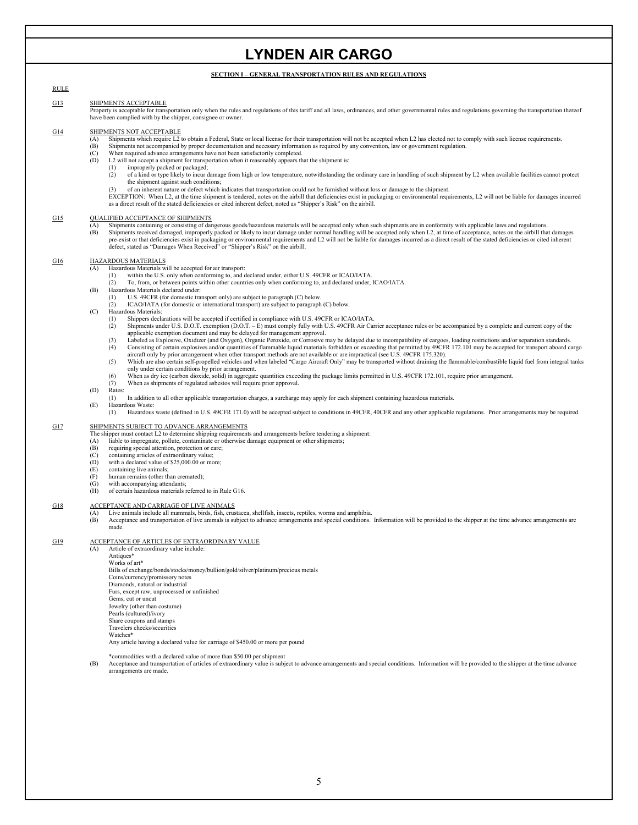### **SECTION I – GENERAL TRANSPORTATION RULES AND REGULATIONS**

RULE G13 SHIPMENTS ACCEPTABLE Property is acceptable for transportation only when the rules and regulations of this tariff and all laws, ordinances, and other governmental rules and regulations governing the transportation thereof G14 have been complied with by the shipper, consignee or owner. SHIPMENTS NOT ACCEPTABLE (A) Shipments which require L2 to obtain a Federal, State or local license for their transportation will not be accepted when L2 has elected not to comp ly with such license requirements. (B) Shipments not accompanied by proper documentation and necessary information as required by any convention, law or government regulation. (2) of a kind or type likely to incur damage from high or low temperature, notwithstanding the ordinary care in handling of such shipment by L2 when available facilities cannot protect (3) of an inherent nature or defect which indicates that transportation could not be furnished without loss or damage to the shipment.<br>EXCEPTION: When L2, at the time shipment is tendered, notes on the airbill that deficie as a direct result of the stated deficiencies or cited inherent defect, noted as "Shipper's Risk" on the airbill. G<sub>15</sub>  $(C)$  When required advance arrangements have not been satisfactorily completed.<br>  $(D)$   $I$  2 will not accent a shinment for transportation when it reasonably annears the L2 will not accept a shipment for transportation when it reasonably appears that the shipment is:<br>(1) improperly packed or packaged; (1) improperly packed or packaged;<br>(2) of a kind or type likely to incur the shipment against such conditions; QUALIFIED ACCEPTANCE OF SHIPMENTS (A) Shipments containing or consisting of dangerous goods/hazardous materials will be accepted only when such shipments are in conformity with applicable laws and regulations. (B) Shipments received damaged, improperly packed or likely to incur damage under normal handling will be accepted only when L2, at time of acceptance, notes on the airbill that damages pre-exist or that deficiencies exist defect, stated as "Damages When Received" or "Shipper's Risk" on the airbill. G16 HAZARDOUS MATERIALS Hazardous Materials will be accepted for air transport:<br>(1) within the U.S. only when conforming to and of (B) (1) Shippers declarations will be accepted if certified in compliance with U.S. 49CFR or ICAO/IATA.<br>(2) Shipments under U.S. D.O.T. exemption (D.O.T. – E) must comply fully with U.S. 49CFR Air Ca (2) Shipments under U.S. D.O.T. exemption (D.O.T. - E) must comply fully with U.S. 49CFR Air Carrier acceptance rules or be accompanied by a complete and current copy of the applicable exemption document and may be delayed (3) Labeled as Explosive, Oxidizer (and Oxygen), Organic Peroxide, or Corrosive may be delayed due to incompatibility of cargoes, loading restrictions and/or separation standards.<br>(4) Consisting of certain explosives and/o aircraft only by prior arrangement when other transport methods are not available or are impractical (see U.S. 49CFR 175.320). (5) Which are also certain self-propelled vehicles and when labeled "Cargo Aircraft Only" may be transported without draining the flammable/combustible liquid fuel from integral tanks only under certain conditions by prior arrangement. (6) When as dry ice (carbon dioxide, solid) in aggregate quantities exceeding the package limits permitted in U.S. 49CFR 172.101, require prior arrangement. (7) When as shipments of regulated asbestos will require prior approval. (1) In addition to all other applicable transportation charges, a surcharge may apply for each shipment containing hazardous materials. (E) Hazardous Waste:<br>(1) Hazardous (1) Hazardous waste (defined in U.S. 49CFR 171.0) will be accepted subject to conditions in 49CFR, 40CFR and any other applicable regulations. Prior arrangements may be required. G17 within the U.S. only when conforming to, and declared under, either U.S. 49CFR or ICAO/IATA. To, from, or between points within other countries only when conforming to, and declared under, ICAO/IATA. Hazardous Materials declared under: (1) U.S. 49CFR (for domestic transport only) are subject to paragraph (C) below. (2) ICAO/IATA (for domestic or international transport) are subject to paragraph (C) below. (C) Hazardous Materials: (D) Rates: SHIPMENTS SUBJECT TO ADVANCE ARRANGEMENTS The shipper must contact L2 to determine shipping requirements and arrangements before tendering a shipment:<br>(A) liable to impregnate, pollute, contaminate or otherwise damage equipment or other shipments; (B) requiring special attention, protection or care; (C) containing articles of extraordinary value;  $(E)$  containing live animals; (F) human remains (other than cremated); (G) with accompanying attendants; (H) of certain hazardous materials referred to in Rule G16. G18 (D) with a declared value of \$25,000.00 or more;<br>(E) containing live animals; ACCEPTANCE AND CARRIAGE OF LIVE ANIMALS (A) Live animals include all mammals, birds, fish, crustacea, shellfish, insects, reptiles, worms and amphibia. (B) Acceptance and transportation of live animals is subject to advance arrangements and special conditions. Information will be provided to the shipper at the time advance arrangements are made. G19 ACCEPTANCE OF ARTICLES OF EXTRAORDINARY VALUE (A) Article of extraordinary value include: **Antiques**<sup>\*</sup> Works of art\* Bills of exchange/bonds/stocks/money/bullion/gold/silver/platinum/precious metals Coins/currency/promissory notes Diamonds, natural or industrial Furs, except raw, unprocessed or unfinished Gems, cut or uncut Jewelry (other than costume) Pearls (cultured)/ivory Share coupons and stamps Travelers checks/securities Watches\* Any article having a declared value for carriage of \$450.00 or more per pound

\*commodities with a declared value of more than \$50.00 per shipment

(B) Acceptance and transportation of articles of extraordinary value is subject to advance arrangements and special conditions. Information will be provided to the shipper at the time advance arrangements are made.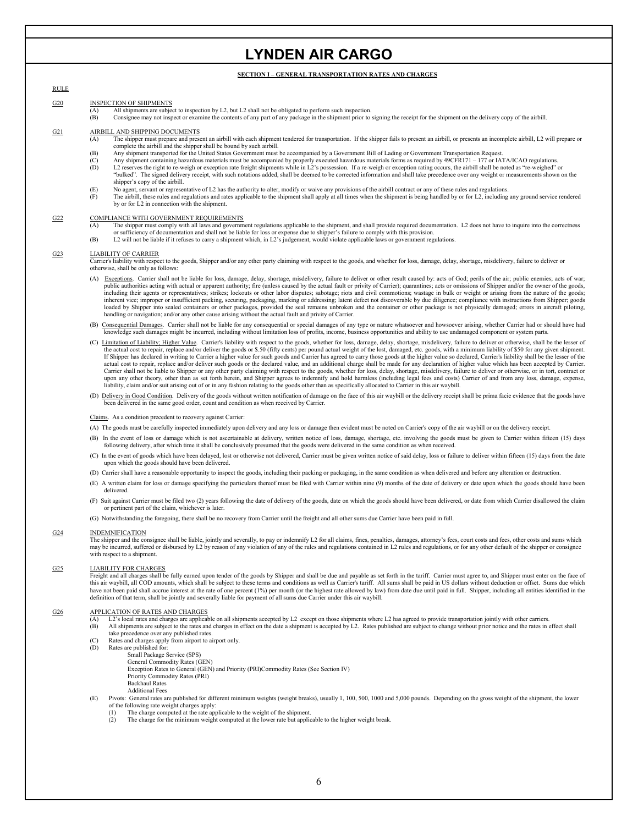## **SECTION I – GENERAL TRANSPORTATION RATES AND CHARGES**

## RULE

### G20 INSPECTION OF SHIPMENTS

- $\overline{A}$  All shipments are subject to inspection by L2, but L2 shall not be obligated to perform such inspection.<br>(B) Consignee may not inspect or examine the contents of any part of any package in the shipment prior to
- (B) Consignee may not inspect or examine the contents of any part of any package in the shipment prior to signing the receipt for the shipment on the delivery copy of the airbill.

#### G21 AIRBILL AND SHIPPING DOCUMENTS

- (A) The shipper must prepare and present an airbill with each shipment tendered for transportation. If the shipper fails to present an airbill, or presents an incomplete airbill, L2 will prepare or complete the airbill and
- (B) Any shipment transported for the United States Government must be accompanied by a Government Bill of Lading or Government Transportation Request.
- (C) Any shipment containing hazardous materials must be accompanied by properly executed hazardous materials forms as required by 49CFR171 177 or IATA/ICAO regulations.<br>(D) L2 reserves the right to re-weigh or exception
- "bulked". The signed delivery receipt, with such notations added, shall be deemed to be corrected information and shall take precedence over any weight or measurements shown on the shipper's copy of the airbill.
- (E) No agent, servant or representative of L2 has the authority to alter, modify or waive any provisions of the airbill contract or any of these rules and regulations.
- (F) The airbill, these rules and regulations and rates applicable to the shipment shall apply at all times when the shipment is being handled by or for L2, including any ground service rendered by or for L2 in connection with the shipment.

#### $G22$ COMPLIANCE WITH GOVERNMENT REQUIREMENTS

- (A) The shipper must comply with all laws and government regulations applicable to the shipment, and shall provide required documentation. L2 does not have to inquire into the correctness or sufficiency of documentation and shall not be liable for loss or expense due to shipper's failure to comply with this provision.<br>(B) L2 will not be liable if it refuses to carry a shipment which, in L2's judgement, woul
- 

#### G23 LIABILITY OF CARRIER

Carrier's liability with respect to the goods, Shipper and/or any other party claiming with respect to the goods, and whether for loss, damage, delay, shortage, misdelivery, failure to deliver or otherwise, shall be only as follows:

- (A) Exceptions. Carrier shall not be liable for loss, damage, delay, shortage, misdelivery, failure to deliver or other result caused by: acts of God; perils of the air; public enemies; acts of war; public authorities acting with actual or apparent authority; fire (unless caused by the actual fault or privity of Carrier); quarantines; acts or omissions of Shipper and/or the owner of the goods, including their agents or representatives; strikes; lockouts or other labor disputes; sabotage; riots and civil commotions; wastage in bulk or weight or arising from the nature of the goods;<br>inherent vice; improper or insu loaded by Shipper into sealed containers or other packages, provided the seal remains unbroken and the container or other package is not physically damaged; errors in aircraft piloting, handling or navigation; and/or any other cause arising without the actual fault and privity of Carrier.
- (B) Consequential Damages. Carrier shall not be liable for any consequential or special damages of any type or nature whatsoever and howsoever arising, whether Carrier had or should have had knowledge such damages might be incurred, including without limitation loss of profits, income, business opportunities and ability to use undamaged component or system parts.
- (C) Limitation of Liability, Higher Value. Carrier's liability with respect to the goods, whether for loss, damage, delay, shortage, misdelivery, failure to deliver or otherwise, shall be the lesser of the actual cost to r If Shipper has declared in writing to Carrier a higher value for such goods and Carrier has agreed to carry those goods at the higher value so declared, Carrier's liability shall be the lesser of the actual cost to repair, replace and/or deliver such goods or the declared value, and an additional charge shall be made for any declaration of higher value which has been accepted by Carrier. Carrier shall not be liable to Shipper or any other party claiming with respect to the goods, whether for loss, delay, shortage, misdelivery, failure to deliver or otherwise, or in tort, contract or upon any other theory, other than as set forth herein, and Shipper agrees to indemnify and hold harmless (including legal fees and costs) Carrier of and from any loss, damage, expense,<br>liability, claim and/or suit arising
- (D) Delivery in Good Condition. Delivery of the goods without written notification of damage on the face of this air waybill or the delivery receipt shall be prima facie evidence that the goods have be en delivered in the same good order, count and condition as when received by Carrier.

Claims. As a condition precedent to recovery against Carrier:

- (A) The goods must be carefully inspected immediately upon delivery and any loss or damage then evident must be noted on Carrier's copy of the air waybill or on the delivery receipt.
- (B) In the event of loss or damage which is not ascertainable at delivery, written notice of loss, damage, shortage, etc. involving the goods must be given to Carrier within fifteen (15) days following delivery, after which time it shall be conclusively presumed that the goods were delivered in the same condition as when received.
- (C) In the event of goods which have been delayed, lost or otherwise not delivered, Carrier must be given written notice of said delay, loss or failure to deliver within fifteen (15) days from the date upon which the goods should have been delivered.
- (D) Carrier shall have a reasonable opportunity to inspect the goods, including their packing or packaging, in the same condition as when delivered and before any alteration or destruction.
- (E) A written claim for loss or damage specifying the particulars thereof must be filed with Carrier within nine (9) months of the date of delivery or date upon which the goods should have been delivered.
- (F) Suit against Carrier must be filed two (2) years following the date of delivery of the goods, date on which the goods should have been delivered, or date from which Carrier disallowed the claim or pertinent part of the claim, whichever is later
- (G) Notwithstanding the foregoing, there shall be no recovery from Carrier until the freight and all other sums due Carrier have been paid in full.

#### G24 INDEMNIFICATION

The shipper and the consignee shall be liable, jointly and severally, to pay or indemnify L2 for all claims, fines, penalties, damages, attorney's fees, court costs and fees, other costs and sums which may be incurred, suffered or disbursed by L2 by reason of any violation of any of the rules and regulations contained in L2 rules and regulations, or for any other default of the shipper or consignee with respect to a shipment.

#### G25 LIABILITY FOR CHARGES

Freight and all charges shall be fully earned upon tender of the goods by Shipper and shall be due and payable as set forth in the tariff. Carrier must agree to, and Shipper must enter on the face of this air waybill, all COD amounts, which shall be subject to these terms and conditions as well as Carrier's tariff. All sums shall be paid in US dollars without deduction or offset. Sums due which have not been paid shall accrue interest at the rate of one percent (1%) per month (or the highest rate allowed by law) from date due until paid in full. Shipper, including all entities identified in the<br>definition of that

#### G<sub>26</sub> APPLICATION OF RATES AND CHARGES

- (A) L2's local rates and charges are applicable on all shipments accepted by L2 except on those shipments where L2 has agreed to provide transportation jointly with other carriers.<br>(B) All shipments are subject to the rat All shipments are subject to the rates and charges in effect on the date a shipment is accepted by L2. Rates published are subject to change without prior notice and the rates in effect shall
- take precedence over any published rates.
- (C) Rates and charges apply from airport to airport only.<br>(D) Rates are published for:
	- Rates are published for:
		- Small Package Service (SPS)
			- General Commodity Rates (GEN) Exception Rates to General (GEN) and Priority (PRI)Commodity Rates (See Section IV)
			- Priority Commodity Rates (PRI) Backhaul Rates
		- Additional Fees
- (E) Pivots: General rates are published for different minimum weights (weight breaks), usually 1, 100, 500, 1000 and 5,000 pounds. Depending on the gross weight of the shipment, the lower of the following rate weight charges apply:
	- (1) The charge computed at the rate applicable to the weight of the shipment.<br>(2) The charge for the minimum weight computed at the lower rate but applied
	- The charge for the minimum weight computed at the lower rate but applicable to the higher weight break.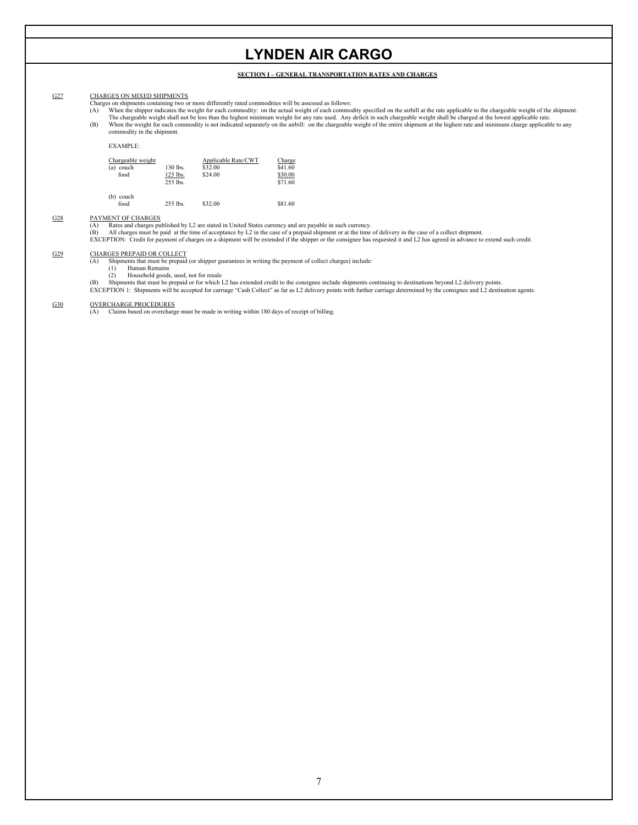## **SECTION I – GENERAL TRANSPORTATION RATES AND CHARGES**

## G27 CHARGES ON MIXED SHIPMENTS

- 
- Charges on shipments containing two or more differently rated commodities will be assessed as follows:<br>(A) When the shipper indicates the weight for each commodity: on the actual weight of each commodity specified on the a The chargeable weight shall not be less than the highest minimum weight for any rate used. Any deficit in such chargeable weight shall be charged at the lowest applicable rate.<br>When the weight for each commodity is not ind (B)
- commodity in the shipment.

## EXAMPLE:

| Chargeable weight |            | Applicable Rate/CWT | Charge  |
|-------------------|------------|---------------------|---------|
| (a) couch         | 130 lbs.   | \$32.00             | \$41.60 |
| food              | $125$ lbs. | \$24.00             | \$30.00 |
|                   | $255$ lbs  |                     | \$71.60 |
| (b)<br>couch      |            |                     |         |
| food              | 255 lbs.   | \$32.00             | \$81.60 |

#### G28 PAYMENT OF CHARGES

y L2 are stated in United States currency and are payable in such currency.<br>e time of acceptance by L2 in the case of a prepaid shipment or at the time of delivery in the case of a collect shipment.<br>charges on a shipment w (A) Rates and charges published by L2 are stated in United States currency and are payable in such currency.<br>(B) All charges must be paid at the time of acceptance by L2 in the case of a prepaid shipment or at the time of

### G29 CHARGES PREPAID OR COLLECT<br>(A) Shipments that must be prepaid

Shipments that must be prepaid (or shipper guarantees in writing the payment of collect charges) include:<br>(1) Human Remains

- (1) Human Remains<br>(2) Household good
- Household goods, used, not for resale

(B) Shipments that must be prepaid or for which L2 has extended credit to the consignee include shipments continuing to destinations beyond L2 delivery points.<br>EXCEPTION 1: Shipments will be accepted for carriage "Cash Col

G30 OVERCHARGE PROCEDURES<br>(A) Claims based on overcharge must be made in writing within 180 days of receipt of billing.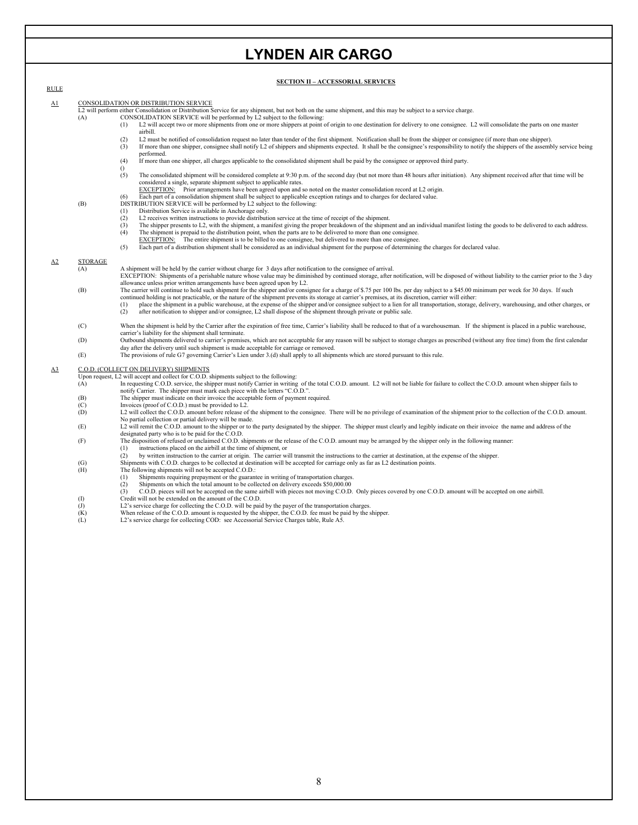## **SECTION II – ACCESSORIAL SERVICES**

|                           |                | . HOR II – ACCESSORIAL SER (TCE).                                                                                                                                                                                                                                                                                                                                                 |
|---------------------------|----------------|-----------------------------------------------------------------------------------------------------------------------------------------------------------------------------------------------------------------------------------------------------------------------------------------------------------------------------------------------------------------------------------|
| <b>RULE</b>               |                |                                                                                                                                                                                                                                                                                                                                                                                   |
| $\underline{\mathbf{A1}}$ |                | CONSOLIDATION OR DISTRIBUTION SERVICE                                                                                                                                                                                                                                                                                                                                             |
|                           |                | L2 will perform either Consolidation or Distribution Service for any shipment, but not both on the same shipment, and this may be subject to a service charge.                                                                                                                                                                                                                    |
|                           | (A)            | CONSOLIDATION SERVICE will be performed by L2 subject to the following:                                                                                                                                                                                                                                                                                                           |
|                           |                | L2 will accept two or more shipments from one or more shippers at point of origin to one destination for delivery to one consignee. L2 will consolidate the parts on one master<br>(1)<br>airbill.                                                                                                                                                                                |
|                           |                | L2 must be notified of consolidation request no later than tender of the first shipment. Notification shall be from the shipper or consignee (if more than one shipper).<br>(2)<br>If more than one shipper, consignee shall notify L2 of shippers and shipments expected. It shall be the consignee's responsibility to notify the shippers of the assembly service being<br>(3) |
|                           |                | performed.<br>If more than one shipper, all charges applicable to the consolidated shipment shall be paid by the consignee or approved third party.<br>(4)                                                                                                                                                                                                                        |
|                           |                | $\Omega$<br>(5)<br>The consolidated shipment will be considered complete at 9:30 p.m. of the second day (but not more than 48 hours after initiation). Any shipment received after that time will be<br>considered a single, separate shipment subject to applicable rates.                                                                                                       |
|                           |                | EXCEPTION: Prior arrangements have been agreed upon and so noted on the master consolidation record at L2 origin.                                                                                                                                                                                                                                                                 |
|                           |                | Each part of a consolidation shipment shall be subject to applicable exception ratings and to charges for declared value.<br>(6)                                                                                                                                                                                                                                                  |
|                           | (B)            | DISTRIBUTION SERVICE will be performed by L2 subject to the following:                                                                                                                                                                                                                                                                                                            |
|                           |                | Distribution Service is available in Anchorage only.<br>(1)                                                                                                                                                                                                                                                                                                                       |
|                           |                | (2)<br>L2 receives written instructions to provide distribution service at the time of receipt of the shipment.                                                                                                                                                                                                                                                                   |
|                           |                | The shipper presents to L2, with the shipment, a manifest giving the proper breakdown of the shipment and an individual manifest listing the goods to be delivered to each address.<br>(3)                                                                                                                                                                                        |
|                           |                | (4)<br>The shipment is prepaid to the distribution point, when the parts are to be delivered to more than one consignee.                                                                                                                                                                                                                                                          |
|                           |                | $EXCEPTION$ : The entire shipment is to be billed to one consignee, but delivered to more than one consignee.                                                                                                                                                                                                                                                                     |
|                           |                | (5)<br>Each part of a distribution shipment shall be considered as an individual shipment for the purpose of determining the charges for declared value.                                                                                                                                                                                                                          |
|                           |                |                                                                                                                                                                                                                                                                                                                                                                                   |
| $\Delta 2$                | <b>STORAGE</b> |                                                                                                                                                                                                                                                                                                                                                                                   |
|                           | (A)            | A shipment will be held by the carrier without charge for 3 days after notification to the consignee of arrival.                                                                                                                                                                                                                                                                  |
|                           |                | EXCEPTION: Shipments of a perishable nature whose value may be diminished by continued storage, after notification, will be disposed of without liability to the carrier prior to the 3 day                                                                                                                                                                                       |
|                           |                | allowance unless prior written arrangements have been agreed upon by L2.                                                                                                                                                                                                                                                                                                          |
|                           | (B)            | The carrier will continue to hold such shipment for the shipper and/or consignee for a charge of \$.75 per 100 lbs. per day subject to a \$45.00 minimum per week for 30 days. If such                                                                                                                                                                                            |
|                           |                | continued holding is not practicable, or the nature of the shipment prevents its storage at carrier's premises, at its discretion, carrier will either:<br>place the shipment in a public warehouse, at the expense of the shipper and/or consignee subject to a lien for all transportation, storage, delivery, warehousing, and other charges, or<br>(1)                        |
|                           |                | (2)<br>after notification to shipper and/or consignee, L2 shall dispose of the shipment through private or public sale.                                                                                                                                                                                                                                                           |
|                           |                |                                                                                                                                                                                                                                                                                                                                                                                   |
|                           | (C)            | When the shipment is held by the Carrier after the expiration of free time, Carrier's liability shall be reduced to that of a warehouseman. If the shipment is placed in a public warehouse,                                                                                                                                                                                      |
|                           |                | carrier's liability for the shipment shall terminate.                                                                                                                                                                                                                                                                                                                             |
|                           | (D)            | Outbound shipments delivered to carrier's premises, which are not acceptable for any reason will be subject to storage charges as prescribed (without any free time) from the first calendar                                                                                                                                                                                      |
|                           |                | day after the delivery until such shipment is made acceptable for carriage or removed.                                                                                                                                                                                                                                                                                            |
|                           | (E)            | The provisions of rule G7 governing Carrier's Lien under 3.(d) shall apply to all shipments which are stored pursuant to this rule.                                                                                                                                                                                                                                               |
| $\Delta$ <sup>3</sup>     |                | C.O.D. (COLLECT ON DELIVERY) SHIPMENTS                                                                                                                                                                                                                                                                                                                                            |
|                           |                | Upon request, L2 will accept and collect for C.O.D. shipments subject to the following:                                                                                                                                                                                                                                                                                           |
|                           | (A)            | In requesting C.O.D. service, the shipper must notify Carrier in writing of the total C.O.D. amount. L2 will not be liable for failure to collect the C.O.D. amount when shipper fails to                                                                                                                                                                                         |
|                           |                | notify Carrier. The shipper must mark each piece with the letters "C.O.D.".                                                                                                                                                                                                                                                                                                       |
|                           | (B)            | The shipper must indicate on their invoice the acceptable form of payment required.                                                                                                                                                                                                                                                                                               |
|                           | (C)            | Invoices (proof of C.O.D.) must be provided to L2.                                                                                                                                                                                                                                                                                                                                |
|                           | (D)            | L2 will collect the C.O.D. amount before release of the shipment to the consignee. There will be no privilege of examination of the shipment prior to the collection of the C.O.D. amount.                                                                                                                                                                                        |
|                           |                | No partial collection or partial delivery will be made.                                                                                                                                                                                                                                                                                                                           |
|                           | (E)            | L2 will remit the C.O.D. amount to the shipper or to the party designated by the shipper. The shipper must clearly and legibly indicate on their invoice the name and address of the                                                                                                                                                                                              |
|                           |                | designated party who is to be paid for the C.O.D.<br>The disposition of refused or unclaimed C.O.D. shipments or the release of the C.O.D. amount may be arranged by the shipper only in the following manner:                                                                                                                                                                    |
|                           | (F)            | instructions placed on the airbill at the time of shipment, or<br>(1)                                                                                                                                                                                                                                                                                                             |
|                           |                | by written instruction to the carrier at origin. The carrier will transmit the instructions to the carrier at destination, at the expense of the shipper.<br>(2)                                                                                                                                                                                                                  |
|                           | (G)            | Shipments with C.O.D. charges to be collected at destination will be accepted for carriage only as far as L2 destination points.                                                                                                                                                                                                                                                  |
|                           | (H)            | The following shipments will not be accepted C.O.D.:                                                                                                                                                                                                                                                                                                                              |
|                           |                | Shipments requiring prepayment or the guarantee in writing of transportation charges.<br>(1)                                                                                                                                                                                                                                                                                      |
|                           |                | (2)<br>Shipments on which the total amount to be collected on delivery exceeds \$50,000.00                                                                                                                                                                                                                                                                                        |
|                           |                | C.O.D. pieces will not be accepted on the same airbill with pieces not moving C.O.D. Only pieces covered by one C.O.D. amount will be accepted on one airbill.<br>(3)                                                                                                                                                                                                             |
|                           | $($ I          | Credit will not be extended on the amount of the C.O.D.                                                                                                                                                                                                                                                                                                                           |
|                           | (J)            | L2's service charge for collecting the C.O.D. will be paid by the payer of the transportation charges.                                                                                                                                                                                                                                                                            |
|                           | (K)            | When release of the C.O.D. amount is requested by the shipper, the C.O.D. fee must be paid by the shipper.                                                                                                                                                                                                                                                                        |
|                           | (L)            | L2's service charge for collecting COD: see Accessorial Service Charges table, Rule A5.                                                                                                                                                                                                                                                                                           |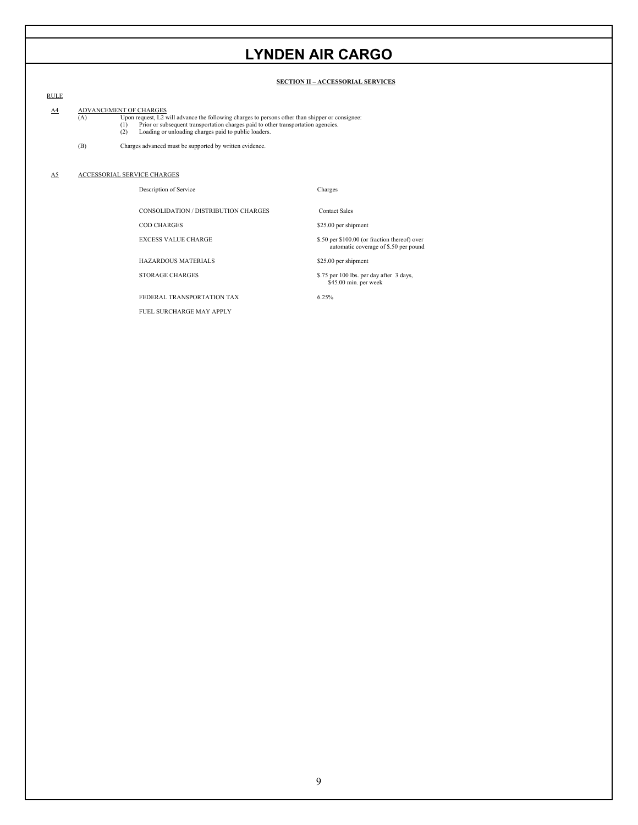## **SECTION II – ACCESSORIAL SERVICES**

## RULE

A4 ADVANCEMENT OF CHARGES

- (A) Upon request, L2 will advance the following charges to persons other than shipper or consignee:<br>
(1) Prior or subsequent transportation charges paid to other transportation agencies.<br>
(2) Loading or unloading charges p Upon request, L2 will advance the follo
	-
	-
- (B) Charges advanced must be supported by written evidence.

#### $\underline{\mathbf{A5}}$ ACCESSORIAL SERVICE CHARGES

## Description of Service Charges

CONSOLIDATION / DISTRIBUTION CHARGES Contact Sales

COD CHARGES

EXCESS VALUE CHA

HAZARDOUS MATERIALS \$25.00 per shipment

FEDERAL TRANSPORTATION TAX FUEL SURCHARGE MAY APPLY

\$25.00 per shipment

\$.50 per \$100.00 (or fraction thereof) over automatic coverage of \$.50 per pound

STORAGE CHARGES \$5.75 per 100 lbs. per day after 3 days, \$45.00 min. per week

6.25%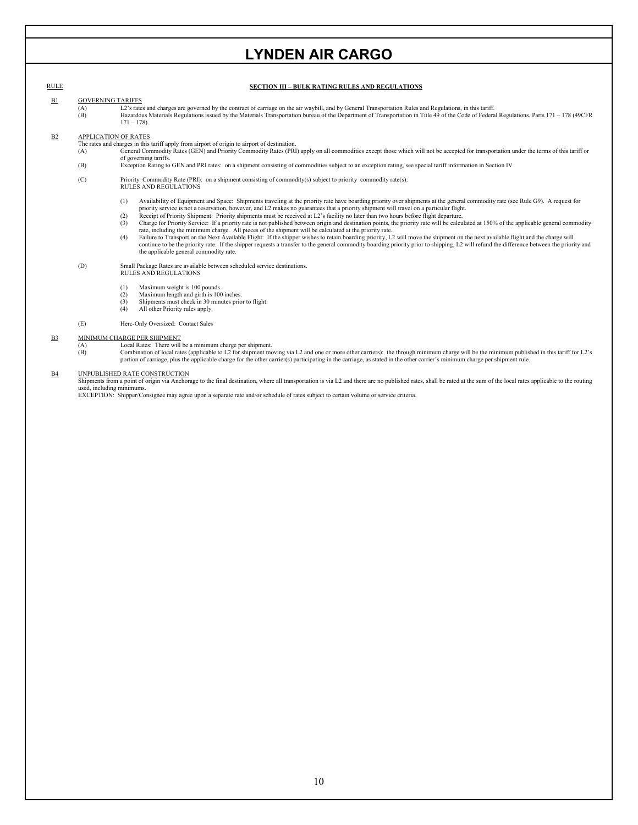## RULE **SECTION III – BULK RATING RULES AND REGULATIONS**

## B1 GOVERNING TARIFFS

 $\overline{L2}$ 's rates and charges are governed by the contract of carriage on the air waybill, and by General Transportation Rules and Regulations, in this tariff.

 $(A)$ <br> $(B)$ (B) Hazardous Materials Regulations issued by the M aterials Transportation bureau of the Department of Transportation in Title 49 of the Code of Federal Regulations, Parts 171 – 178 (49CFR  $171 - 178$ .

### B2 APPLICATION OF RATES

The rat es and charges in this tariff apply from airport of origin to airport of destination.

- (A) General Commodity Rates (GEN) and Priority Commodity Rates (PRI) apply on all commodities except those which will not be accepted for transportation under the terms of this tariff or of governing tariffs.
- (B) Exception Rating to GEN and PRI rates: on a shipment consisting of commodities subject to an exception rating, see special tariff information in Section IV
- (C) Priority Commodity Rate (PRI): on a shipment consisting of commodity(s) subject to priority commodity rate(s): RULES AND REGULATIONS
	- (1) Availability of Equipment and Space: Shipments traveling at the priority rate have boarding priority over shipments at the general commodity rate (see Rule G9). A request for priority service is not a reservation, however, and L2 makes no guarantees that a priority shipment will travel on a particular flight.
	- (2) Receipt of Priority Shipment: Priority shipments must be received at L2's facility no later than two hours before flight departure.
	- (3) Charge for Priority Service: If a priority rate is not published between origin and destination points, the priority rate will be calculated at 150% of the applicable general commodity rate, including the minimum charge. All pieces of the shipment will be calculated at the priority rate.<br>(4) Failure to Transport on the Next Available Flight: If the shipper wishes to retain boarding priority, L2 will move
	- continue to be the priority rate. If the shipper requests a transfer to the general commodity boarding priority prior to shipping, L2 will refund the difference between the priority and the applicable general commodity rate.

(D) Small Package Rates are available between scheduled service destinations.<br>RULES AND REGULATIONS

- $(1)$
- Maximum weight is 100 pounds. Maximum length and girth is 100 inches.
- (3) Shipments must check in 30 minutes prior to flight.  $(2)$ <br> $(3)$ (4) All other Priority rules apply.
- (E) Herc-Only Oversized: Contact Sales

### B3 MINIMUM CHARGE PER SHIPMENT

## (A) Local Rates: There will be a minimum charge per shipment.<br>
(B) Combination of local rates (applicable to L2 for shipment mo

Combination of local rates (applicable to L2 for shipment moving via L2 and one or more other carriers): the through minimum charge will be the minimum published in this tariff for L2's portion of carriage, plus the applicable charge for the other carrier(s) participating in the carriage, as stated in the other carrier's minimum charge per shipment rule.

## B4 UNPUBLISHED RATE CONSTRUCTION

Shipments from a point of origin via Anchorage to the final destination, where all transportation is via L2 and there are no published rates, shall be rated at the sum of the local rates applicable to the routing used, including minimums.

EXCEPTION: Shipper/Consignee may agree upon a separate rate and/or schedule of rates subject to certain volume or service criteria.